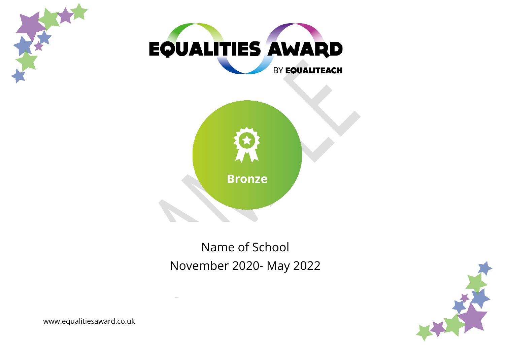



# Name of School November 2020- May 2022



www.equalitiesaward.co.uk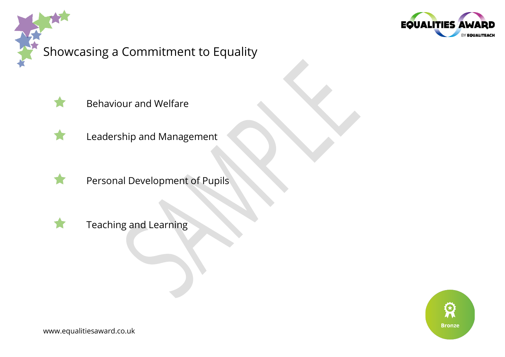

# Showcasing a Commitment to Equality



Behaviour and Welfare



- Leadership and Management
- Personal Development of Pupils



Teaching and Learning

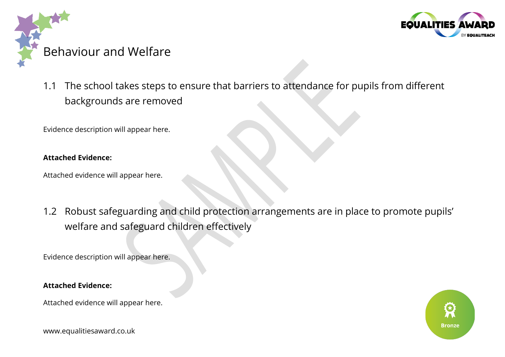



1.1 The school takes steps to ensure that barriers to attendance for pupils from different backgrounds are removed

Evidence description will appear here.

#### **Attached Evidence:**

Attached evidence will appear here.

1.2 Robust safeguarding and child protection arrangements are in place to promote pupils' welfare and safeguard children effectively

Evidence description will appear here.

#### **Attached Evidence:**

Attached evidence will appear here.



www.equalitiesaward.co.uk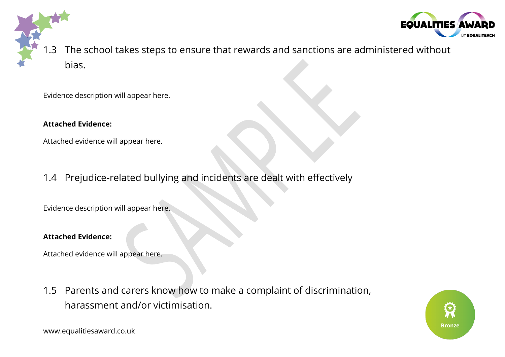

1.3 The school takes steps to ensure that rewards and sanctions are administered without bias.

Evidence description will appear here.

#### **Attached Evidence:**

Attached evidence will appear here.

1.4 Prejudice-related bullying and incidents are dealt with effectively

Evidence description will appear here.

### **Attached Evidence:**

Attached evidence will appear here.

1.5 Parents and carers know how to make a complaint of discrimination, harassment and/or victimisation.

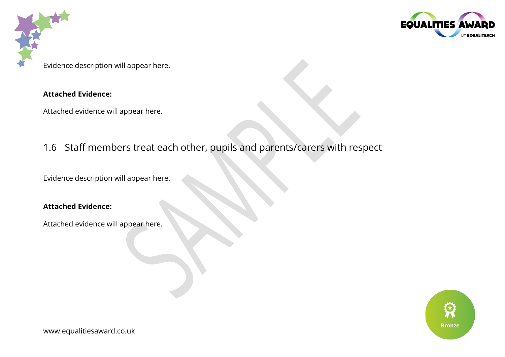



Evidence description will appear here.

### **Attached Evidence:**

Attached evidence will appear here.

## 1.6 Staff members treat each other, pupils and parents/carers with respect

Evidence description will appear here.

### **Attached Evidence:**

Attached evidence will appear here.